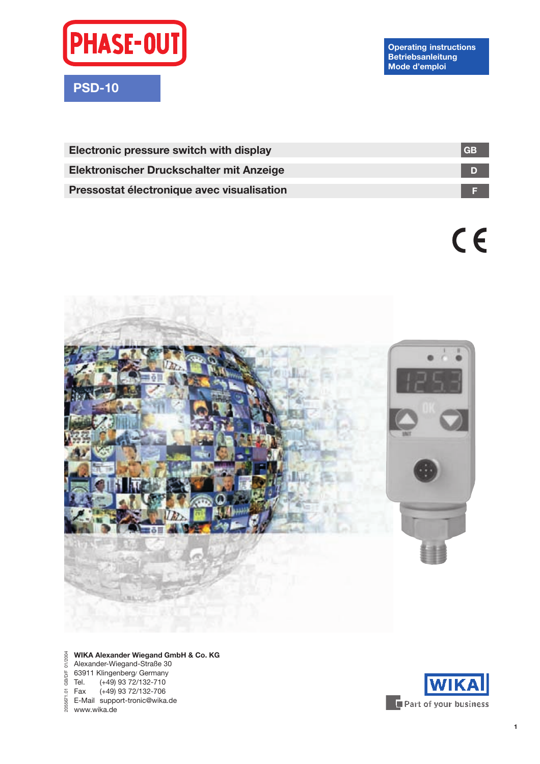

**Operating instructions Betriebsanleitung Mode díemploi**

| <b>GB</b> |
|-----------|
|           |
|           |
|           |

 $c \in$ 



#### **WIKA Alexander Wiegand GmbH & Co. KG** Alexander-Wiegand-Straße 30 63911 Klingenberg/ Germany Tel. (+49) 93 72/132-710 Fax (+49) 93 72/132-706 E-Mail support-tronic@wika.de www.wika.de 2055671.01 GB/D/F 01/2004

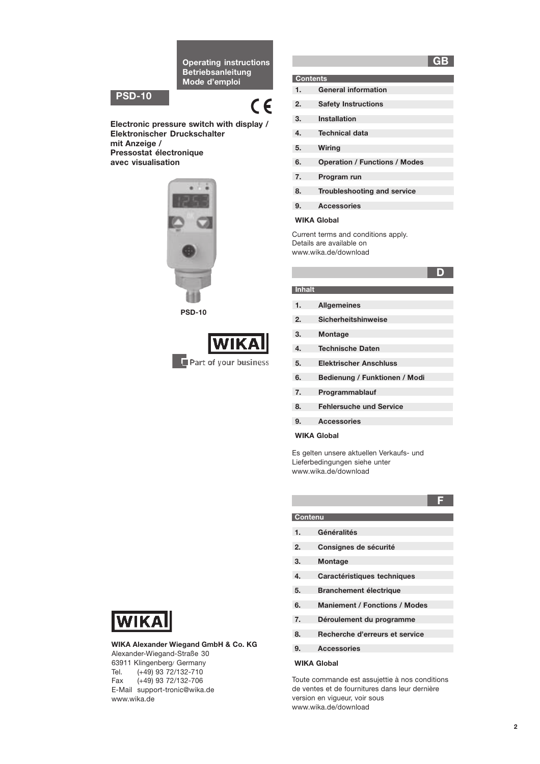**Operating instructions Betriebsanleitung** Mode d'emploi

# **PSD-10**

# $\epsilon$

Electronic pressure switch with display / Elektronischer Druckschalter mit Anzeige / Pressostat électronique avec visualisation



**PSD-10** 



|    | <b>Contents</b>                      |
|----|--------------------------------------|
| 1. | <b>General information</b>           |
| 2. | <b>Safety Instructions</b>           |
| 3. | Installation                         |
| 4. | <b>Technical data</b>                |
| 5. | Wiring                               |
| 6. | <b>Operation / Functions / Modes</b> |
| 7. | Program run                          |
| 8. | <b>Troubleshooting and service</b>   |
| 9. | <b>Accessories</b>                   |

#### **WIKA Global**

Current terms and conditions apply. Details are available on www.wika.de/download

# D

GB

#### Inhalt

- $1.$ **Allgemeines**
- $2.$ Sicherheitshinweise
- $3.$ Montage
- $4.$ **Technische Daten**
- $5.$ **Elektrischer Anschluss**
- $6.$ Bedienung / Funktionen / Modi
- $7.$ Programmablauf
- 8. **Fehlersuche und Service**
- $9.$ **Accessories**

#### **WIKA Global**

Es gelten unsere aktuellen Verkaufs- und Lieferbedingungen siehe unter www.wika.de/download

- $1.$ Généralités
- $2.$ Consignes de sécurité
- $3.$ Montage

**Contenu** 

- $4.$ Caractéristiques techniques
- $5.$ **Branchement électrique**
- $6.$ **Maniement / Fonctions / Modes**
- $7.$ Déroulement du programme
- 8. Recherche d'erreurs et service
- $\mathbf{Q}$ Accessories

#### **WIKA Global**

Toute commande est assujettie à nos conditions de ventes et de fournitures dans leur dernière version en vigueur, voir sous www.wika.de/download



WIKA Alexander Wiegand GmbH & Co. KG Alexander-Wiegand-Straße 30 63911 Klingenberg/ Germany  $(+49)$  93 72/132-710 Tel. Fax  $(+49)$  93 72/132-706 E-Mail support-tronic@wika.de www.wika.de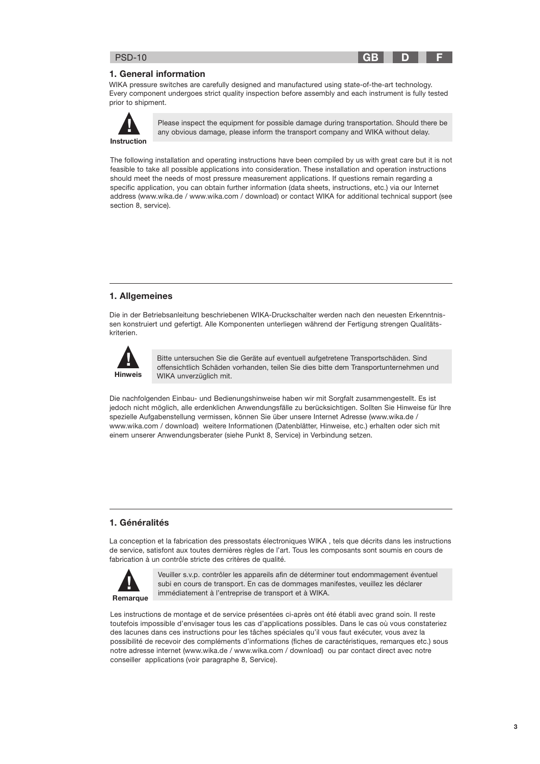### 1. General information

WIKA pressure switches are carefully designed and manufactured using state-of-the-art technology. Every component undergoes strict quality inspection before assembly and each instrument is fully tested prior to shipment.



Please inspect the equipment for possible damage during transportation. Should there be any obvious damage, please inform the transport company and WIKA without delay.

**GB** 

D

The following installation and operating instructions have been compiled by us with great care but it is not feasible to take all possible applications into consideration. These installation and operation instructions should meet the needs of most pressure measurement applications. If questions remain regarding a specific application, you can obtain further information (data sheets, instructions, etc.) via our Internet address (www.wika.de / www.wika.com / download) or contact WIKA for additional technical support (see section 8, service).

# 1. Allgemeines

Die in der Betriebsanleitung beschriebenen WIKA-Druckschalter werden nach den neuesten Erkenntnissen konstruiert und gefertigt. Alle Komponenten unterliegen während der Fertigung strengen Qualitätskriterien.



Bitte untersuchen Sie die Geräte auf eventuell aufgetretene Transportschäden. Sind offensichtlich Schäden vorhanden, teilen Sie dies bitte dem Transportunternehmen und WIKA unverzüglich mit.

Die nachfolgenden Einbau- und Bedienungshinweise haben wir mit Sorgfalt zusammengestellt. Es ist jedoch nicht möglich, alle erdenklichen Anwendungsfälle zu berücksichtigen. Sollten Sie Hinweise für Ihre spezielle Aufgabenstellung vermissen, können Sie über unsere Internet Adresse (www.wika.de / www.wika.com / download) weitere Informationen (Datenblätter, Hinweise, etc.) erhalten oder sich mit einem unserer Anwendungsberater (siehe Punkt 8, Service) in Verbindung setzen.

# 1. Généralités

La conception et la fabrication des pressostats électroniques WIKA, tels que décrits dans les instructions de service, satisfont aux toutes dernières règles de l'art. Tous les composants sont soumis en cours de fabrication à un contrôle stricte des critères de qualité.



Veuiller s.v.p. contrôler les appareils afin de déterminer tout endommagement éventuel subi en cours de transport. En cas de dommages manifestes, veuillez les déclarer immédiatement à l'entreprise de transport et à WIKA.

Les instructions de montage et de service présentées ci-après ont été établi avec grand soin. Il reste toutefois impossible d'envisager tous les cas d'applications possibles. Dans le cas où vous constateriez des lacunes dans ces instructions pour les tâches spéciales qu'il vous faut exécuter, vous avez la possibilité de recevoir des compléments d'informations (fiches de caractéristiques, remarques etc.) sous notre adresse internet (www.wika.de / www.wika.com / download) ou par contact direct avec notre conseiller applications (voir paragraphe 8, Service).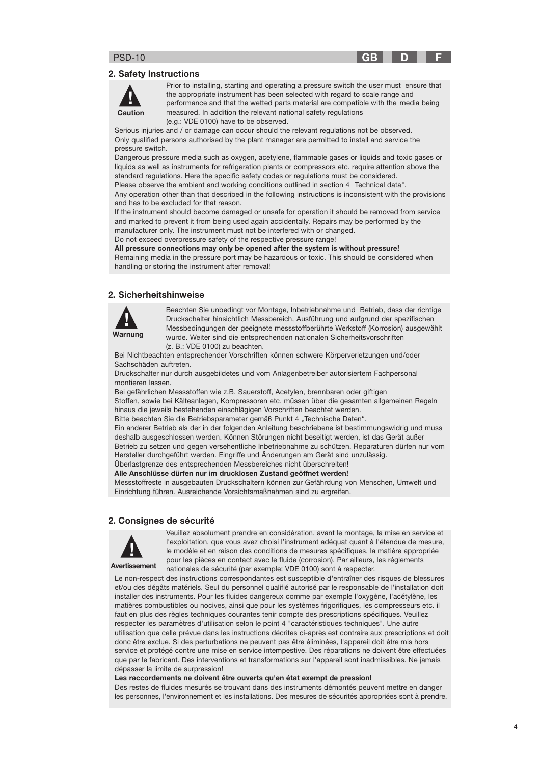#### **GR**

D

#### 2. Safety Instructions



Prior to installing, starting and operating a pressure switch the user must ensure that the appropriate instrument has been selected with regard to scale range and performance and that the wetted parts material are compatible with the media being measured. In addition the relevant national safety regulations (e.g.: VDE 0100) have to be observed.

Serious injuries and / or damage can occur should the relevant regulations not be observed. Only qualified persons authorised by the plant manager are permitted to install and service the pressure switch.

Dangerous pressure media such as oxygen, acetylene, flammable gases or liquids and toxic gases or liquids as well as instruments for refrigeration plants or compressors etc. require attention above the standard regulations. Here the specific safety codes or regulations must be considered.

Please observe the ambient and working conditions outlined in section 4 "Technical data".

Any operation other than that described in the following instructions is inconsistent with the provisions and has to be excluded for that reason.

If the instrument should become damaged or unsafe for operation it should be removed from service and marked to prevent it from being used again accidentally. Repairs may be performed by the manufacturer only. The instrument must not be interfered with or changed.

Do not exceed overpressure safety of the respective pressure range!

All pressure connections may only be opened after the system is without pressure!

Remaining media in the pressure port may be hazardous or toxic. This should be considered when handling or storing the instrument after removal!

## 2. Sicherheitshinweise



Beachten Sie unbedingt vor Montage, Inbetriebnahme und Betrieb, dass der richtige Druckschalter hinsichtlich Messbereich, Ausführung und aufgrund der spezifischen Messbedingungen der geeignete messstoffberührte Werkstoff (Korrosion) ausgewählt wurde. Weiter sind die entsprechenden nationalen Sicherheitsvorschriften (z. B.: VDE 0100) zu beachten.

Bei Nichtbeachten entsprechender Vorschriften können schwere Körperverletzungen und/oder Sachschäden auftreten.

Druckschalter nur durch ausgebildetes und vom Anlagenbetreiber autorisiertem Fachpersonal montieren lassen.

Bei gefährlichen Messstoffen wie z.B. Sauerstoff, Acetylen, brennbaren oder giftigen Stoffen, sowie bei Kälteanlagen, Kompressoren etc. müssen über die gesamten allgemeinen Regeln hinaus die jeweils bestehenden einschlägigen Vorschriften beachtet werden.

Bitte beachten Sie die Betriebsparameter gemäß Punkt 4 "Technische Daten".

Ein anderer Betrieb als der in der folgenden Anleitung beschriebene ist bestimmungswidrig und muss deshalb ausgeschlossen werden. Können Störungen nicht beseitigt werden, ist das Gerät außer Betrieb zu setzen und gegen versehentliche Inbetriebnahme zu schützen. Reparaturen dürfen nur vom Hersteller durchgeführt werden. Eingriffe und Änderungen am Gerät sind unzulässig. Überlastgrenze des entsprechenden Messbereiches nicht überschreiten!

Alle Anschlüsse dürfen nur im drucklosen Zustand geöffnet werden!

Messstoffreste in ausgebauten Druckschaltern können zur Gefährdung von Menschen, Umwelt und

Einrichtung führen. Ausreichende Vorsichtsmaßnahmen sind zu ergreifen.

#### 2. Consignes de sécurité



Avertissement

Veuillez absolument prendre en considération, avant le montage, la mise en service et l'exploitation, que vous avez choisi l'instrument adéquat quant à l'étendue de mesure, le modèle et en raison des conditions de mesures spécifiques, la matière appropriée pour les pièces en contact avec le fluide (corrosion). Par ailleurs, les réglements nationales de sécurité (par exemple: VDE 0100) sont à respecter.

Le non-respect des instructions correspondantes est susceptible d'entraîner des risques de blessures et/ou des dégâts matériels. Seul du personnel qualifié autorisé par le responsable de l'installation doit installer des instruments. Pour les fluides dangereux comme par exemple l'oxygène, l'acétylène, les matières combustibles ou nocives, ainsi que pour les systèmes frigorifiques, les compresseurs etc. il faut en plus des règles techniques courantes tenir compte des prescriptions spécifiques. Veuillez respecter les paramètres d'utilisation selon le point 4 "caractéristiques techniques". Une autre utilisation que celle prévue dans les instructions décrites ci-après est contraire aux prescriptions et doit donc être exclue. Si des perturbations ne peuvent pas être éliminées, l'appareil doit être mis hors service et protégé contre une mise en service intempestive. Des réparations ne doivent être effectuées que par le fabricant. Des interventions et transformations sur l'appareil sont inadmissibles. Ne jamais dépasser la limite de surpression!

#### Les raccordements ne doivent être ouverts qu'en état exempt de pression!

Des restes de fluides mesurés se trouvant dans des instruments démontés peuvent mettre en danger les personnes, l'environnement et les installations. Des mesures de sécurités appropriées sont à prendre.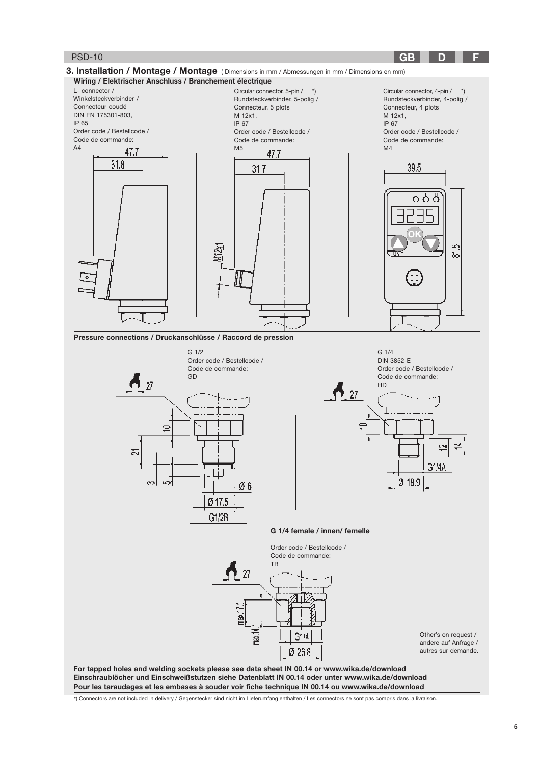

Pour les taraudages et les embases à souder voir fiche technique IN 00.14 ou www.wika.de/download

\*) Connectors are not included in delivery / Gegenstecker sind nicht im Lieferumfang enthalten / Les connectors ne sont pas compris dans la livraison.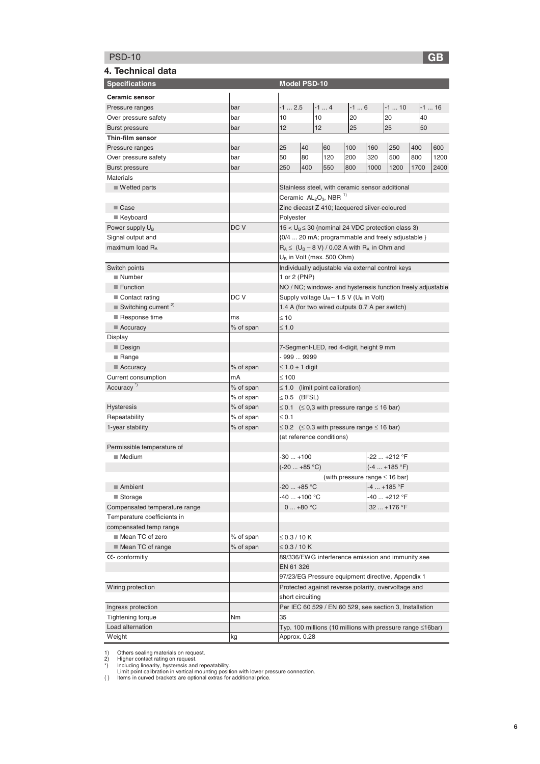# PSD-10 **G**

| ۰.<br>×<br>۹ |
|--------------|
|              |

| 4. Technical data                              |           |                        |           |                                                             |       |      |                                     |      |         |
|------------------------------------------------|-----------|------------------------|-----------|-------------------------------------------------------------|-------|------|-------------------------------------|------|---------|
| <b>Specifications</b>                          |           | Model PSD-10           |           |                                                             |       |      |                                     |      |         |
| <b>Ceramic sensor</b>                          |           |                        |           |                                                             |       |      |                                     |      |         |
| Pressure ranges                                | bar       | $-12.5$                |           | $-14$                                                       | $-16$ |      | $-1$ 10                             |      | $-1$ 16 |
| Over pressure safety                           | bar       | 10                     |           | 10                                                          | 20    |      | 20                                  | 40   |         |
| <b>Burst pressure</b>                          | bar       | 12                     |           | 12                                                          | 25    |      | 25                                  | 50   |         |
| Thin-film sensor                               |           |                        |           |                                                             |       |      |                                     |      |         |
| Pressure ranges                                | bar       | 25                     | 40        | 60                                                          | 100   | 160  | 250                                 | 400  | 600     |
| Over pressure safety                           | bar       | 50                     | 80        | 120                                                         | 200   | 320  | 500                                 | 800  | 1200    |
| <b>Burst pressure</b>                          | bar       | 250                    | 400       | 550                                                         | 800   | 1000 | 1200                                | 1700 | 2400    |
| <b>Materials</b>                               |           |                        |           |                                                             |       |      |                                     |      |         |
| $\blacksquare$ Wetted parts                    |           |                        |           | Stainless steel, with ceramic sensor additional             |       |      |                                     |      |         |
|                                                |           |                        |           | Ceramic $AL_2O_3$ , NBR <sup>1)</sup>                       |       |      |                                     |      |         |
| ■ Case                                         |           |                        |           | Zinc diecast Z 410; lacquered silver-coloured               |       |      |                                     |      |         |
| ■ Keyboard                                     |           | Polyester              |           |                                                             |       |      |                                     |      |         |
| Power supply U <sub>B</sub>                    | DC V      |                        |           | $15 < U_B \leq 30$ (nominal 24 VDC protection class 3)      |       |      |                                     |      |         |
| Signal output and                              |           |                        |           | {0/4  20 mA; programmable and freely adjustable }           |       |      |                                     |      |         |
| maximum load RA                                |           |                        |           | $R_A \leq (U_B - 8 V) / 0.02$ A with $R_A$ in Ohm and       |       |      |                                     |      |         |
|                                                |           |                        |           | $U_B$ in Volt (max. 500 Ohm)                                |       |      |                                     |      |         |
| Switch points                                  |           |                        |           | Individually adjustable via external control keys           |       |      |                                     |      |         |
| Number                                         |           | 1 or 2 (PNP)           |           |                                                             |       |      |                                     |      |         |
| $\blacksquare$ Function                        |           |                        |           | NO / NC; windows- and hysteresis function freely adjustable |       |      |                                     |      |         |
| Contact rating                                 | DC V      |                        |           | Supply voltage $U_B - 1.5$ V ( $U_B$ in Volt)               |       |      |                                     |      |         |
| $\blacksquare$ Switching current <sup>2)</sup> |           |                        |           | 1.4 A (for two wired outputs 0.7 A per switch)              |       |      |                                     |      |         |
| Response time                                  | ms        | $\leq 10$              |           |                                                             |       |      |                                     |      |         |
| $\blacksquare$ Accuracy                        | % of span | $\leq 1.0$             |           |                                                             |       |      |                                     |      |         |
| Display                                        |           |                        |           |                                                             |       |      |                                     |      |         |
| $\blacksquare$ Design                          |           |                        |           | 7-Segment-LED, red 4-digit, height 9 mm                     |       |      |                                     |      |         |
| $\blacksquare$ Range                           |           | - 999  9999            |           |                                                             |       |      |                                     |      |         |
| $\blacksquare$ Accuracy                        | % of span | $\leq 1.0 \pm 1$ digit |           |                                                             |       |      |                                     |      |         |
| Current consumption                            | mA        | $\leq 100$             |           |                                                             |       |      |                                     |      |         |
| Accuracy <sup>"</sup>                          | % of span |                        |           | $\leq$ 1.0 (limit point calibration)                        |       |      |                                     |      |         |
|                                                | % of span | $\leq 0.5$ (BFSL)      |           |                                                             |       |      |                                     |      |         |
| <b>Hysteresis</b>                              | % of span |                        |           | $\leq$ 0.1 ( $\leq$ 0,3 with pressure range $\leq$ 16 bar)  |       |      |                                     |      |         |
| Repeatability                                  | % of span | $\leq 0.1$             |           |                                                             |       |      |                                     |      |         |
| 1-year stability                               | % of span |                        |           | $\leq$ 0.2 ( $\leq$ 0.3 with pressure range $\leq$ 16 bar)  |       |      |                                     |      |         |
|                                                |           |                        |           | (at reference conditions)                                   |       |      |                                     |      |         |
| Permissible temperature of                     |           |                        |           |                                                             |       |      |                                     |      |         |
| $\blacksquare$ Medium                          |           | $-30+100$              |           |                                                             |       |      | -22  +212 °F                        |      |         |
|                                                |           | (-20  +85 °C)          |           |                                                             |       |      | $(-4  +185 °F)$                     |      |         |
|                                                |           |                        |           |                                                             |       |      | (with pressure range $\leq 16$ bar) |      |         |
| Ambient                                        |           | $-20+85 °C$            |           |                                                             |       |      | -4  +185 °F                         |      |         |
| ■ Storage                                      |           | -40  +100 °C           |           |                                                             |       |      | -40  +212 °F                        |      |         |
| Compensated temperature range                  |           |                        | $0+80 °C$ |                                                             |       |      | 32  +176 °F                         |      |         |
| Temperature coefficients in                    |           |                        |           |                                                             |       |      |                                     |      |         |
| compensated temp range<br>Mean TC of zero      |           |                        |           |                                                             |       |      |                                     |      |         |
|                                                | % of span | $\leq$ 0.3 / 10 K      |           |                                                             |       |      |                                     |      |         |
| ■ Mean TC of range                             | % of span | $\leq$ 0.3 / 10 K      |           |                                                             |       |      |                                     |      |         |
| CE-conformitiy                                 |           | EN 61 326              |           | 89/336/EWG interference emission and immunity see           |       |      |                                     |      |         |
|                                                |           |                        |           | 97/23/EG Pressure equipment directive, Appendix 1           |       |      |                                     |      |         |
|                                                |           |                        |           | Protected against reverse polarity, overvoltage and         |       |      |                                     |      |         |
| Wiring protection                              |           | short circuiting       |           |                                                             |       |      |                                     |      |         |
|                                                |           |                        |           |                                                             |       |      |                                     |      |         |
| Ingress protection                             | Nm        | 35                     |           | Per IEC 60 529 / EN 60 529, see section 3, Installation     |       |      |                                     |      |         |
| <b>Tightening torque</b><br>Load alternation   |           |                        |           |                                                             |       |      |                                     |      |         |
| Weight                                         |           | Approx. 0.28           |           | Typ. 100 millions (10 millions with pressure range ≤16bar)  |       |      |                                     |      |         |
|                                                | kg        |                        |           |                                                             |       |      |                                     |      |         |

1) Others sealing materials on request.<br>2) Higher contact rating on request.<br>\*) Including linearity, hysteresis and repeatability.<br>Limit point calibration in vertical mounting position with lower pressure connection.<br>{} Li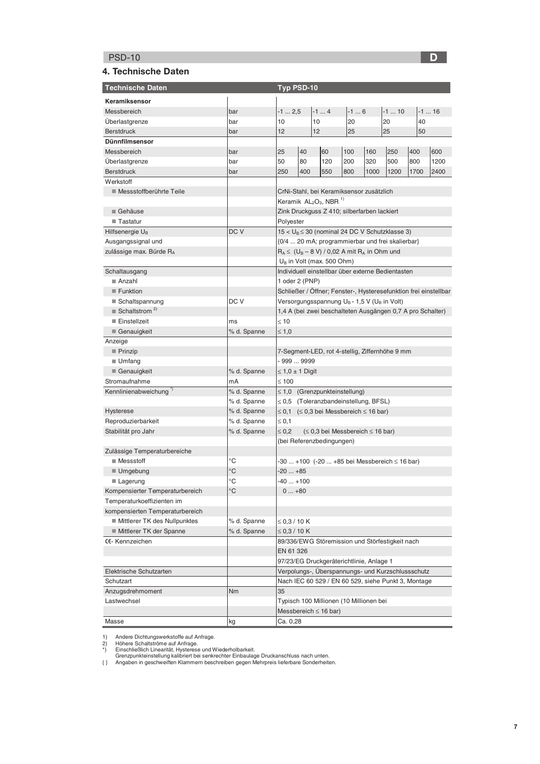# $\mathsf{PSD}\text{-}\mathsf{10}$  . The contract of the contract of the contract of the contract of  $\mathsf{D}$

#### 4. Technische Daten

| <b>Technische Daten</b>                  |             | Typ PSD-10             |     |                                                                     |       |      |        |      |         |  |
|------------------------------------------|-------------|------------------------|-----|---------------------------------------------------------------------|-------|------|--------|------|---------|--|
| Keramiksensor                            |             |                        |     |                                                                     |       |      |        |      |         |  |
| Messbereich                              | bar         | $-1$ 2,5               |     | $-14$                                                               | $-16$ |      | $-110$ |      | $-1$ 16 |  |
| <b>Uberlastgrenze</b>                    | bar         | 10<br>10               |     |                                                                     | 20    |      | 20     | 40   |         |  |
| <b>Berstdruck</b>                        | bar         | 12                     |     | 12                                                                  | 25    |      | 25     | 50   |         |  |
| <b>Dünnfilmsensor</b>                    |             |                        |     |                                                                     |       |      |        |      |         |  |
| Messbereich                              | bar         | 25                     | 40  | 60                                                                  | 100   | 160  | 250    | 400  | 600     |  |
| <b>Uberlastgrenze</b>                    | bar         | 50                     | 80  | 120                                                                 | 200   | 320  | 500    | 800  | 1200    |  |
| <b>Berstdruck</b>                        | bar         | 250                    | 400 | 550                                                                 | 800   | 1000 | 1200   | 1700 | 2400    |  |
| Werkstoff                                |             |                        |     |                                                                     |       |      |        |      |         |  |
| Messstoffberührte Teile                  |             |                        |     | CrNi-Stahl, bei Keramiksensor zusätzlich                            |       |      |        |      |         |  |
|                                          |             |                        |     | Keramik $AL_2O_3$ , NBR <sup>1)</sup>                               |       |      |        |      |         |  |
| ■ Gehäuse                                |             |                        |     | Zink Druckguss Z 410; silberfarben lackiert                         |       |      |        |      |         |  |
| ■ Tastatur                               |             | Polyester              |     |                                                                     |       |      |        |      |         |  |
| Hilfsenergie U <sub>B</sub>              | DC V        |                        |     | $15 < U_B \le 30$ (nominal 24 DC V Schutzklasse 3)                  |       |      |        |      |         |  |
| Ausgangssignal und                       |             |                        |     | {0/4  20 mA; programmierbar und frei skalierbar}                    |       |      |        |      |         |  |
| zulässige max. Bürde RA                  |             |                        |     | $R_A \leq (U_B - 8 V) / 0.02$ A mit $R_A$ in Ohm und                |       |      |        |      |         |  |
|                                          |             |                        |     | $U_B$ in Volt (max. 500 Ohm)                                        |       |      |        |      |         |  |
| Schaltausgang                            |             |                        |     | Individuell einstellbar über externe Bedientasten                   |       |      |        |      |         |  |
| ■ Anzahl                                 |             | 1 oder 2 (PNP)         |     |                                                                     |       |      |        |      |         |  |
| Funktion                                 |             |                        |     | Schließer / Offner; Fenster-, Hysteresefunktion frei einstellbar    |       |      |        |      |         |  |
| ■ Schaltspannung                         | DC V        |                        |     | Versorgungsspannung U <sub>B</sub> - 1,5 V (U <sub>B</sub> in Volt) |       |      |        |      |         |  |
| $\blacksquare$ Schaltstrom <sup>2)</sup> |             |                        |     | 1,4 A (bei zwei beschalteten Ausgängen 0,7 A pro Schalter)          |       |      |        |      |         |  |
| Einstellzeit                             | ms          | $\leq 10$              |     |                                                                     |       |      |        |      |         |  |
| ■ Genauigkeit                            | % d. Spanne | $≤ 1,0$                |     |                                                                     |       |      |        |      |         |  |
| Anzeige                                  |             |                        |     |                                                                     |       |      |        |      |         |  |
| $\blacksquare$ Prinzip                   |             |                        |     | 7-Segment-LED, rot 4-stellig, Ziffernhöhe 9 mm                      |       |      |        |      |         |  |
| $\blacksquare$ Umfang                    |             | $-9999999$             |     |                                                                     |       |      |        |      |         |  |
| Genauigkeit                              | % d. Spanne | $\leq 1,0 \pm 1$ Digit |     |                                                                     |       |      |        |      |         |  |
| Stromaufnahme                            | mA          | $\leq 100$             |     |                                                                     |       |      |        |      |         |  |
| Kennlinienabweichung <sup>*</sup>        | % d. Spanne |                        |     | $\leq$ 1,0 (Grenzpunkteinstellung)                                  |       |      |        |      |         |  |
|                                          | % d. Spanne |                        |     | $\leq$ 0,5 (Toleranzbandeinstellung, BFSL)                          |       |      |        |      |         |  |
| <b>Hysterese</b>                         | % d. Spanne |                        |     | ≤ 0,1 (≤ 0,3 bei Messbereich ≤ 16 bar)                              |       |      |        |      |         |  |
| Reproduzierbarkeit                       | % d. Spanne | $\leq 0.1$             |     |                                                                     |       |      |        |      |         |  |
| Stabilität pro Jahr                      | % d. Spanne | $\leq 0.2$             |     | $(\leq 0.3$ bei Messbereich $\leq 16$ bar)                          |       |      |        |      |         |  |
|                                          |             |                        |     | (bei Referenzbedingungen)                                           |       |      |        |      |         |  |
| Zulässige Temperaturbereiche             |             |                        |     |                                                                     |       |      |        |      |         |  |
| ■ Messstoff                              | °C          |                        |     | -30  +100 (-20  +85 bei Messbereich ≤ 16 bar)                       |       |      |        |      |         |  |
| ■ Umgebung                               | °C          | $-20+85$               |     |                                                                     |       |      |        |      |         |  |
| <b>■ Lagerung</b>                        | °C          | $-40+100$              |     |                                                                     |       |      |        |      |         |  |
| Kompensierter Temperaturbereich          | °C          | $0+80$                 |     |                                                                     |       |      |        |      |         |  |
| Temperaturkoeffizienten im               |             |                        |     |                                                                     |       |      |        |      |         |  |
| kompensierten Temperaturbereich          |             |                        |     |                                                                     |       |      |        |      |         |  |
| Mittlerer TK des Nullpunktes             | % d. Spanne | $\leq$ 0.3 / 10 K      |     |                                                                     |       |      |        |      |         |  |
| Mittlerer TK der Spanne                  | % d. Spanne | $\leq$ 0,3 / 10 K      |     |                                                                     |       |      |        |      |         |  |
| <b>CE-Kennzeichen</b>                    |             |                        |     | 89/336/EWG Störemission und Störfestigkeit nach                     |       |      |        |      |         |  |
|                                          |             | EN 61 326              |     |                                                                     |       |      |        |      |         |  |
|                                          |             |                        |     | 97/23/EG Druckgeräterichtlinie, Anlage 1                            |       |      |        |      |         |  |
| Elektrische Schutzarten                  |             |                        |     | Verpolungs-, Überspannungs- und Kurzschlussschutz                   |       |      |        |      |         |  |
| Schutzart                                |             |                        |     | Nach IEC 60 529 / EN 60 529, siehe Punkt 3, Montage                 |       |      |        |      |         |  |
| Anzugsdrehmoment                         | Nm          | 35                     |     |                                                                     |       |      |        |      |         |  |
| Lastwechsel                              |             |                        |     | Typisch 100 Millionen (10 Millionen bei                             |       |      |        |      |         |  |
|                                          |             |                        |     | Messbereich $\leq 16$ bar)                                          |       |      |        |      |         |  |
| Masse                                    | kg          | Ca. 0,28               |     |                                                                     |       |      |        |      |         |  |

1) Andere Dichtungswerkstoffe auf Anfrage.<br>2) Höhere Schaltströme auf Anfrage.<br>\*) Einschließlich Linearität, Hysterese und Wiederholbarkeit.<br>Grenzpunkteinstellung kalibriert bei senkrechter Einbaulage Druckanschluss nach u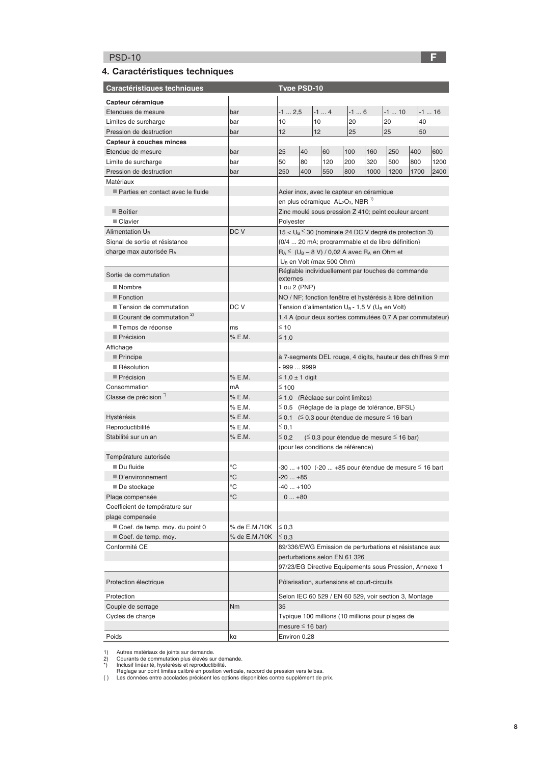# PSD-10 <mark>F</mark>

### 4. Caractéristiques techniques

| Caractéristiques techniques                         |               |                          |     | <b>Type PSD-10</b> |                                                                      |       |      |                                                               |      |        |
|-----------------------------------------------------|---------------|--------------------------|-----|--------------------|----------------------------------------------------------------------|-------|------|---------------------------------------------------------------|------|--------|
| Capteur céramique                                   |               |                          |     |                    |                                                                      |       |      |                                                               |      |        |
| Etendues de mesure                                  | bar           | $-12,5$                  |     |                    | $-14$                                                                | $-16$ |      | $-110$                                                        |      | $-116$ |
| Limites de surcharge                                | bar           | 10                       |     | 10                 |                                                                      | 20    |      | 20                                                            | 40   |        |
| Pression de destruction                             | bar           | 12                       |     | $12 \overline{ }$  |                                                                      | 25    |      | 25                                                            | 50   |        |
| Capteur à couches minces                            |               |                          |     |                    |                                                                      |       |      |                                                               |      |        |
| Etendue de mesure                                   | bar           | 25                       | 40  |                    | 60                                                                   | 100   | 160  | 250                                                           | 400  | 600    |
| Limite de surcharge                                 | bar           | 50                       | 80  |                    | 120                                                                  | 200   | 320  | 500                                                           | 800  | 1200   |
| Pression de destruction                             | bar           | 250                      | 400 |                    | 550                                                                  | 800   | 1000 | 1200                                                          | 1700 | 2400   |
| Matériaux                                           |               |                          |     |                    |                                                                      |       |      |                                                               |      |        |
| Parties en contact avec le fluide                   |               |                          |     |                    | Acier inox, avec le capteur en céramique                             |       |      |                                                               |      |        |
|                                                     |               |                          |     |                    | en plus céramique AL <sub>2</sub> O <sub>3</sub> , NBR <sup>1)</sup> |       |      |                                                               |      |        |
| $\blacksquare$ Boîtier                              |               |                          |     |                    |                                                                      |       |      | Zinc moulé sous pression Z 410; peint couleur argent          |      |        |
| ■ Clavier                                           |               | Polyester                |     |                    |                                                                      |       |      |                                                               |      |        |
| Alimentation U <sub>B</sub>                         | DC V          |                          |     |                    |                                                                      |       |      | $15 < U_B \leq 30$ (nominale 24 DC V degré de protection 3)   |      |        |
| Signal de sortie et résistance                      |               |                          |     |                    |                                                                      |       |      | {0/4  20 mA; programmable et de libre définition}             |      |        |
| charge max autorisée RA                             |               |                          |     |                    | $R_A \leq (U_B - 8 V) / 0.02 A$ avec $R_A$ en Ohm et                 |       |      |                                                               |      |        |
|                                                     |               |                          |     |                    | U <sub>B</sub> en Volt (max 500 Ohm)                                 |       |      |                                                               |      |        |
| Sortie de commutation                               |               | externes                 |     |                    |                                                                      |       |      | Réglable individuellement par touches de commande             |      |        |
| ■ Nombre                                            |               | 1 ou 2 (PNP)             |     |                    |                                                                      |       |      |                                                               |      |        |
| Fonction                                            |               |                          |     |                    |                                                                      |       |      | NO / NF; fonction fenêtre et hystérésis à libre définition    |      |        |
| Tension de commutation                              | DC V          |                          |     |                    |                                                                      |       |      | Tension d'alimentation $U_B$ - 1,5 V ( $U_B$ en Volt)         |      |        |
| $\blacksquare$ Courant de commutation <sup>2)</sup> |               |                          |     |                    |                                                                      |       |      | 1.4 A (pour deux sorties commutées 0.7 A par commutateur)     |      |        |
| ■ Temps de réponse                                  | ms            | $\leq 10$                |     |                    |                                                                      |       |      |                                                               |      |        |
| $\blacksquare$ Précision                            | % E.M.        | ≤ 1,0                    |     |                    |                                                                      |       |      |                                                               |      |        |
| Affichage                                           |               |                          |     |                    |                                                                      |       |      |                                                               |      |        |
| Principe                                            |               |                          |     |                    |                                                                      |       |      | à 7-segments DEL rouge, 4 digits, hauteur des chiffres 9 mm   |      |        |
| $\blacksquare$ Résolution                           |               | $-9999999$               |     |                    |                                                                      |       |      |                                                               |      |        |
| Précision                                           | % E.M.        | $\leq$ 1,0 $\pm$ 1 diait |     |                    |                                                                      |       |      |                                                               |      |        |
| Consommation                                        | mA            | $≤ 100$                  |     |                    |                                                                      |       |      |                                                               |      |        |
| Classe de précision <sup>")</sup>                   | % E.M.        |                          |     |                    | $\leq$ 1,0 (Réglage sur point limites)                               |       |      |                                                               |      |        |
|                                                     | % E.M.        |                          |     |                    |                                                                      |       |      | $\leq$ 0.5 (Réglage de la plage de tolérance, BFSL)           |      |        |
| <b>Hystérésis</b>                                   | % E.M.        |                          |     |                    |                                                                      |       |      | $\leq$ 0.1 ( $\leq$ 0.3 pour étendue de mesure $\leq$ 16 bar) |      |        |
| Reproductibilité                                    | % E.M.        | $\leq 0.1$               |     |                    |                                                                      |       |      |                                                               |      |        |
| Stabilité sur un an                                 | % E.M.        | $\leq$ 0.2               |     |                    |                                                                      |       |      | (≤ 0,3 pour étendue de mesure ≤ 16 bar)                       |      |        |
|                                                     |               |                          |     |                    | (pour les conditions de référence)                                   |       |      |                                                               |      |        |
| Température autorisée                               |               |                          |     |                    |                                                                      |       |      |                                                               |      |        |
| ■ Du fluide                                         | °C            |                          |     |                    |                                                                      |       |      | $-30+100$ ( $-20+85$ pour étendue de mesure $\leq 16$ bar)    |      |        |
| D'environnement                                     | $^{\circ}C$   | $-20+85$                 |     |                    |                                                                      |       |      |                                                               |      |        |
| ■ De stockage                                       | $^{\circ}C$   | -40  +100                |     |                    |                                                                      |       |      |                                                               |      |        |
| Plage compensée                                     | °C            | $0+80$                   |     |                    |                                                                      |       |      |                                                               |      |        |
| Coefficient de température sur                      |               |                          |     |                    |                                                                      |       |      |                                                               |      |        |
| plage compensée                                     |               |                          |     |                    |                                                                      |       |      |                                                               |      |        |
| ■ Coef. de temp. moy. du point 0                    | % de E.M./10K | $\leq 0.3$               |     |                    |                                                                      |       |      |                                                               |      |        |
| Coef. de temp. moy.                                 | % de E.M./10K | $\leq 0.3$               |     |                    |                                                                      |       |      |                                                               |      |        |
| Conformité CE                                       |               |                          |     |                    |                                                                      |       |      | 89/336/EWG Emission de perturbations et résistance aux        |      |        |
|                                                     |               |                          |     |                    | perturbations selon EN 61 326                                        |       |      |                                                               |      |        |
|                                                     |               |                          |     |                    |                                                                      |       |      | 97/23/EG Directive Equipements sous Pression, Annexe 1        |      |        |
| Protection électrique                               |               |                          |     |                    | Pôlarisation, surtensions et court-circuits                          |       |      |                                                               |      |        |
| Protection                                          |               |                          |     |                    |                                                                      |       |      | Selon IEC 60 529 / EN 60 529, voir section 3, Montage         |      |        |
| Couple de serrage                                   | Nm            | 35                       |     |                    |                                                                      |       |      |                                                               |      |        |
| Cycles de charge                                    |               |                          |     |                    |                                                                      |       |      | Typique 100 millions (10 millions pour plages de              |      |        |
|                                                     |               | mesure $\leq$ 16 bar)    |     |                    |                                                                      |       |      |                                                               |      |        |
| Poids                                               | kg            | Environ 0,28             |     |                    |                                                                      |       |      |                                                               |      |        |

1) Autres matériaux de joints sur demande.<br>2) Courants de commutation plus élevés sur demande.<br>\*) Inclusif linéarité, hystérésis et reproductibilité.<br>Réglage sur point limites calibré en position verticale, raccord de pres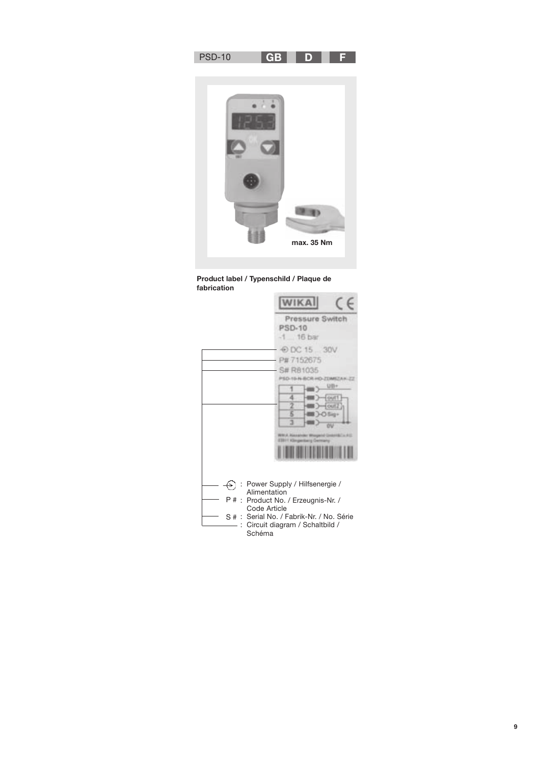





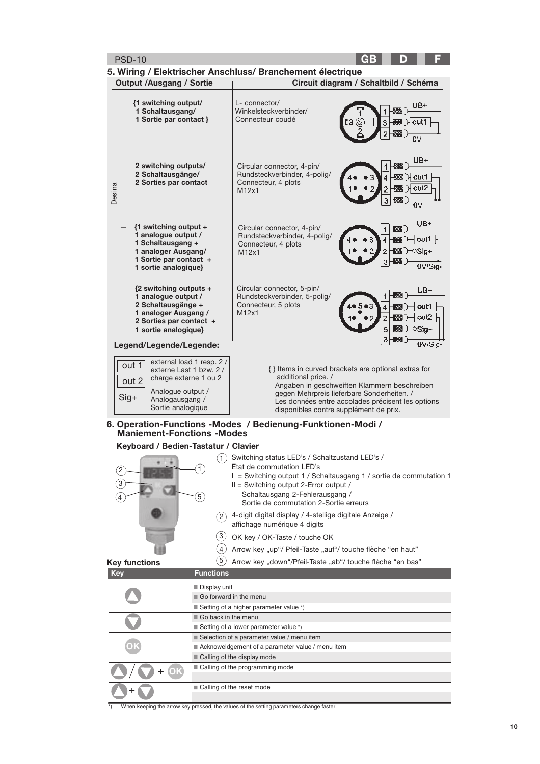| <b>PSD-10</b>                                                                                                                                                               | GB                                                                                                                                                                                                                                                                             |  |  |  |  |
|-----------------------------------------------------------------------------------------------------------------------------------------------------------------------------|--------------------------------------------------------------------------------------------------------------------------------------------------------------------------------------------------------------------------------------------------------------------------------|--|--|--|--|
| <b>Output /Ausgang / Sortie</b>                                                                                                                                             | 5. Wiring / Elektrischer Anschluss/ Branchement électrique<br>Circuit diagram / Schaltbild / Schéma                                                                                                                                                                            |  |  |  |  |
| {1 switching output/<br>1 Schaltausgang/<br>1 Sortie par contact }                                                                                                          | L- connector/<br>JB+<br>Winkelsteckverbinder/<br>Connecteur coudé<br>out1<br>3                                                                                                                                                                                                 |  |  |  |  |
| 2 switching outputs/<br>2 Schaltausgänge/<br>2 Sorties par contact<br>Desina                                                                                                | UB+<br>Circular connector, 4-pin/<br>Rundsteckverbinder, 4-polig/<br>out1<br>Connecteur, 4 plots<br>outZ<br>2<br>M12x1<br>o۷                                                                                                                                                   |  |  |  |  |
| $\{1$ switching output +<br>1 analogue output /<br>1 Schaltausgang +<br>1 analoger Ausgang/<br>1 Sortie par contact +<br>1 sortie analogique}                               | UB+<br>Circular connector, 4-pin/<br>Rundsteckverbinder, 4-polig/<br>out1<br>Connecteur, 4 plots<br>2<br>Sia+<br>M12x1<br>0V/Sig-                                                                                                                                              |  |  |  |  |
| ${2$ switching outputs +<br>1 analogue output /<br>2 Schaltausgänge +<br>1 analoger Ausgang /<br>2 Sorties par contact +<br>1 sortie analogique}<br>Legend/Legende/Legende: | Circular connector, 5-pin/<br>UB+<br>Rundsteckverbinder, 5-polig/<br>Connecteur, 5 plots<br>out1<br>4<br>M12x1<br>out2<br>$\overline{2}$<br>5<br>oSig+<br>3<br>0V/Sia·                                                                                                         |  |  |  |  |
| external load 1 resp. 2 /<br>out 1<br>externe Last 1 bzw. 2 /<br>charge externe 1 ou 2<br>out 2<br>Analogue output /<br>$Sig+$<br>Analogausgang /<br>Sortie analogique      | { } Items in curved brackets are optional extras for<br>additional price. /<br>Angaben in geschweiften Klammern beschreiben<br>gegen Mehrpreis lieferbare Sonderheiten. /<br>Les données entre accolades précisent les options<br>disponibles contre supplément de prix.       |  |  |  |  |
| <b>Maniement-Fonctions -Modes</b>                                                                                                                                           | 6. Operation-Functions -Modes / Bedienung-Funktionen-Modi /                                                                                                                                                                                                                    |  |  |  |  |
| Keyboard / Bedien-Tastatur / Clavier                                                                                                                                        |                                                                                                                                                                                                                                                                                |  |  |  |  |
| 1<br>$\left[2\right]$<br>$\left(3\right)$<br>$\left(5\right)$<br>4                                                                                                          | (1) Switching status LED's / Schaltzustand LED's /<br>Etat de commutation LED's<br>I = Switching output 1 / Schaltausgang 1 / sortie de commutation 1<br>$II =$ Switching output 2-Error output /<br>Schaltausgang 2-Fehlerausgang /<br>Sortie de commutation 2-Sortie erreurs |  |  |  |  |
| 2)                                                                                                                                                                          | 4-digit digital display / 4-stellige digitale Anzeige /<br>affichage numérique 4 digits                                                                                                                                                                                        |  |  |  |  |
| $\left(3\right)$                                                                                                                                                            | OK key / OK-Taste / touche OK                                                                                                                                                                                                                                                  |  |  |  |  |
| (4)<br>$5^{\circ}$                                                                                                                                                          | Arrow key "up"/ Pfeil-Taste "auf"/ touche flèche "en haut"                                                                                                                                                                                                                     |  |  |  |  |
| <b>Key functions</b><br><b>Functions</b><br><b>Key</b>                                                                                                                      | Arrow key "down"/Pfeil-Taste "ab"/ touche flèche "en bas"                                                                                                                                                                                                                      |  |  |  |  |
| Display unit                                                                                                                                                                |                                                                                                                                                                                                                                                                                |  |  |  |  |
| Go forward in the menu                                                                                                                                                      |                                                                                                                                                                                                                                                                                |  |  |  |  |
|                                                                                                                                                                             | ■ Setting of a higher parameter value *)                                                                                                                                                                                                                                       |  |  |  |  |
| Go back in the menu                                                                                                                                                         |                                                                                                                                                                                                                                                                                |  |  |  |  |
|                                                                                                                                                                             | Setting of a lower parameter value *)<br>Selection of a parameter value / menu item                                                                                                                                                                                            |  |  |  |  |
|                                                                                                                                                                             | Acknoweldgement of a parameter value / menu item                                                                                                                                                                                                                               |  |  |  |  |
|                                                                                                                                                                             | Calling of the display mode                                                                                                                                                                                                                                                    |  |  |  |  |
| (OK                                                                                                                                                                         | ■ Calling of the programming mode                                                                                                                                                                                                                                              |  |  |  |  |
|                                                                                                                                                                             | Calling of the reset mode                                                                                                                                                                                                                                                      |  |  |  |  |

\*) When keeping the arrow key pressed, the values of the setting parameters change faster.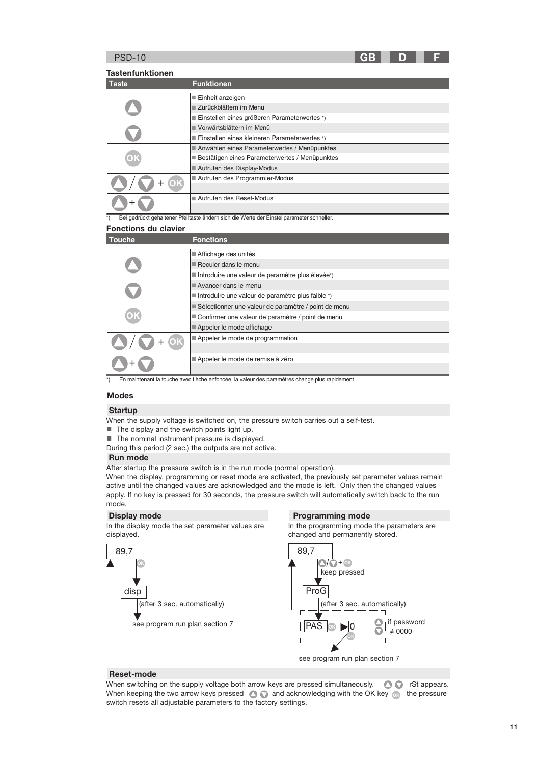**GR** 

**Tastenfunktionen** 

| <b>Taste</b>                                                                               | <b>Funktionen</b>                              |
|--------------------------------------------------------------------------------------------|------------------------------------------------|
|                                                                                            | Einheit anzeigen                               |
| OK                                                                                         | Zurückblättern im Menü                         |
|                                                                                            | ■ Einstellen eines größeren Parameterwertes *) |
|                                                                                            | Vorwärtsblättern im Menü                       |
| Aufrufen des Display-Modus<br>Aufrufen des Programmier-Modus<br>■ Aufrufen des Reset-Modus | Einstellen eines kleineren Parameterwertes*)   |
|                                                                                            | Anwählen eines Parameterwertes / Menüpunktes   |
|                                                                                            | Bestätigen eines Parameterwertes / Menüpunktes |
|                                                                                            |                                                |
|                                                                                            |                                                |
|                                                                                            |                                                |
|                                                                                            |                                                |

ste ändern sich die Werte der Einstellnarameter schneller

#### **Fonctions du clavier**

| Touche | <b>Fonctions</b>                                                                                                                                                                                                                                                                                                                                        |
|--------|---------------------------------------------------------------------------------------------------------------------------------------------------------------------------------------------------------------------------------------------------------------------------------------------------------------------------------------------------------|
|        | Affichage des unités                                                                                                                                                                                                                                                                                                                                    |
|        | $\blacksquare$ Reculer dans le menu                                                                                                                                                                                                                                                                                                                     |
|        | Introduire une valeur de paramètre plus élevée*)<br>Avancer dans le menu<br>■ Introduire une valeur de paramètre plus faible *)<br>Sélectionner une valeur de paramètre / point de menu<br>Confirmer une valeur de paramètre / point de menu<br>Appeler le mode affichage<br>Appeler le mode de programmation<br>OK<br>Appeler le mode de remise à zéro |
|        |                                                                                                                                                                                                                                                                                                                                                         |
|        |                                                                                                                                                                                                                                                                                                                                                         |
|        |                                                                                                                                                                                                                                                                                                                                                         |
|        |                                                                                                                                                                                                                                                                                                                                                         |
|        |                                                                                                                                                                                                                                                                                                                                                         |
|        |                                                                                                                                                                                                                                                                                                                                                         |
|        |                                                                                                                                                                                                                                                                                                                                                         |
|        |                                                                                                                                                                                                                                                                                                                                                         |
|        |                                                                                                                                                                                                                                                                                                                                                         |

\*) En maintenant la touche avec flèche enfoncée, la valeur des paramètres change plus rapidement

#### **Modes**

#### **Startup**

When the supply voltage is switched on, the pressure switch carries out a self-test.

- The display and the switch points light up.
- The nominal instrument pressure is displayed.
- During this period (2 sec.) the outputs are not active.

#### **Run mode**

After startup the pressure switch is in the run mode (normal operation).

When the display, programming or reset mode are activated, the previously set parameter values remain active until the changed values are acknowledged and the mode is left. Only then the changed values apply. If no key is pressed for 30 seconds, the pressure switch will automatically switch back to the run mode.

#### **Display mode**

89,7

 $\overline{disp}$ 

In the display mode the set parameter values are displayed.

**Programming mode** In the programming mode the parameters are changed and permanently stored.

if password

 $\neq 0000$ 



#### Reset-mode

When switching on the supply voltage both arrow keys are pressed simultaneously.  $\bullet$   $\bullet$  rSt appears. When keeping the two arrow keys pressed  $\bullet$  and acknowledging with the OK key  $\bullet$  the pressure switch resets all adjustable parameters to the factory settings.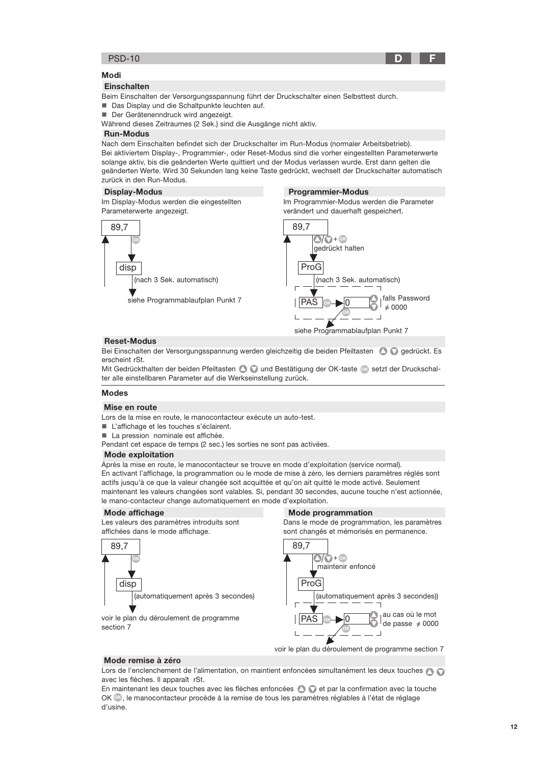

## Modi

#### **Einschalten**

Beim Einschalten der Versorgungsspannung führt der Druckschalter einen Selbsttest durch. Das Display und die Schaltpunkte leuchten auf.

Der Gerätenenndruck wird angezeigt.

Während dieses Zeitraumes (2 Sek.) sind die Ausgänge nicht aktiv.

#### **Run-Modus**

Nach dem Einschalten befindet sich der Druckschalter im Run-Modus (normaler Arbeitsbetrieb). Bei aktiviertem Display-, Programmier-, oder Reset-Modus sind die vorher eingestellten Parameterwerte solange aktiv, bis die geänderten Werte quittiert und der Modus verlassen wurde. Erst dann gelten die geänderten Werte. Wird 30 Sekunden lang keine Taste gedrückt, wechselt der Druckschalter automatisch zurück in den Run-Modus.

**Programmier-Modus** 

Im Programmier-Modus werden die Parameter

#### **Display-Modus**

Im Display-Modus werden die eingestellten Parameterwerte angezeigt.



### **Reset-Modus**

Bei Einschalten der Versorgungsspannung werden gleichzeitig die beiden Pfeiltasten @ ogedrückt. Es erscheint rSt.

Mit Gedrückthalten der beiden Pfeiltasten @ on und Bestätigung der OK-taste o setzt der Druckschalter alle einstellbaren Parameter auf die Werkseinstellung zurück.

# **Modes**

#### Mise en route

Lors de la mise en route, le manocontacteur exécute un auto-test.

- L'affichage et les touches s'éclairent.
- La pression nominale est affichée.
- Pendant cet espace de temps (2 sec.) les sorties ne sont pas activées.

#### **Mode exploitation**

Après la mise en route, le manocontacteur se trouve en mode d'exploitation (service normal). En activant l'affichage, la programmation ou le mode de mise à zéro, les derniers paramètres réglés sont actifs jusqu'à ce que la valeur changée soit acquittée et qu'on ait quitté le mode activé. Seulement maintenant les valeurs changées sont valables. Si, pendant 30 secondes, aucune touche n'est actionnée, le mano-contacteur change automatiquement en mode d'exploitation.

#### Mode affichage

Les valeurs des paramètres introduits sont affichées dans le mode affichage.

voir le plan du déroulement de programme



#### **Mode programmation**

Dans le mode de programmation, les paramètres sont changés et mémorisés en permanence.



Mode remise à zéro

section 7

Lors de l'enclenchement de l'alimentation, on maintient enfoncées simultanément les deux touches A avec les flèches. Il apparaît rSt.

En maintenant les deux touches avec les flèches enfoncées (C) et par la confirmation avec la touche OK ®, le manocontacteur procède à la remise de tous les paramètres réglables à l'état de réglage d'usine.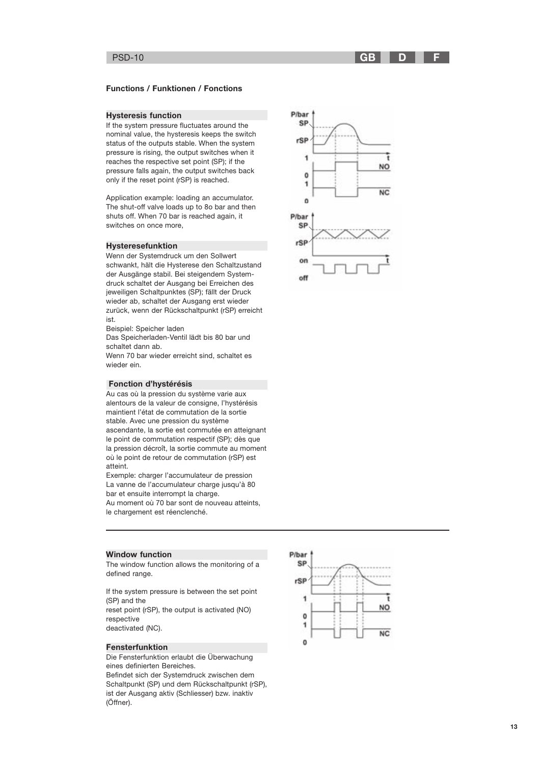#### **Functions / Funktionen / Fonctions**

#### **Hysteresis function**

If the system pressure fluctuates around the nominal value, the hysteresis keeps the switch status of the outputs stable. When the system pressure is rising, the output switches when it reaches the respective set point (SP); if the pressure falls again, the output switches back only if the reset point (rSP) is reached.

Application example: loading an accumulator. The shut-off valve loads up to 80 bar and then shuts off. When 70 bar is reached again, it switches on once more,

#### **Hysteresefunktion**

Wenn der Systemdruck um den Sollwert schwankt, hält die Hysterese den Schaltzustand der Ausgänge stabil. Bei steigendem Systemdruck schaltet der Ausgang bei Erreichen des jeweiligen Schaltpunktes (SP); fällt der Druck wieder ab, schaltet der Ausgang erst wieder zurück, wenn der Rückschaltpunkt (rSP) erreicht ist

Beispiel: Speicher laden

Das Speicherladen-Ventil lädt bis 80 bar und schaltet dann ab.

Wenn 70 bar wieder erreicht sind, schaltet es wieder ein.

#### Fonction d'hystérésis

Au cas où la pression du système varie aux alentours de la valeur de consigne, l'hystérésis maintient l'état de commutation de la sortie stable. Avec une pression du système ascendante, la sortie est commutée en atteignant le point de commutation respectif (SP); dès que la pression décroît, la sortie commute au moment où le point de retour de commutation (rSP) est atteint

Exemple: charger l'accumulateur de pression La vanne de l'accumulateur charge jusqu'à 80 bar et ensuite interrompt la charge.

Au moment où 70 bar sont de nouveau atteints, le chargement est réenclenché.





#### **Window function**

The window function allows the monitoring of a defined range.

If the system pressure is between the set point (SP) and the reset point (rSP), the output is activated (NO) respective

deactivated (NC).

#### **Fensterfunktion**

Die Fensterfunktion erlaubt die Überwachung eines definierten Bereiches.

Befindet sich der Systemdruck zwischen dem Schaltpunkt (SP) und dem Rückschaltpunkt (rSP), ist der Ausgang aktiv (Schliesser) bzw. inaktiv (Öffner).

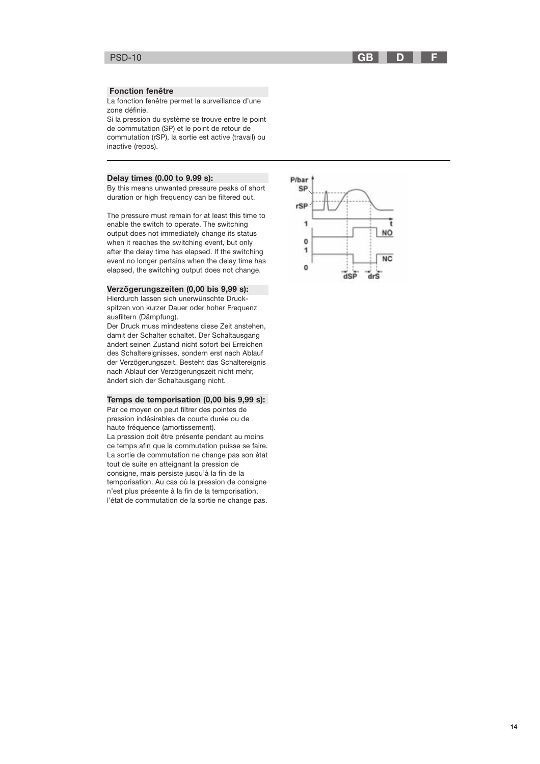#### **GB** D

#### **Fonction fenêtre**

La fonction fenêtre permet la surveillance d'une zone définie.

Si la pression du système se trouve entre le point de commutation (SP) et le point de retour de commutation (rSP), la sortie est active (travail) ou inactive (repos).

#### Delay times (0.00 to 9.99 s):

By this means unwanted pressure peaks of short duration or high frequency can be filtered out.

The pressure must remain for at least this time to enable the switch to operate. The switching output does not immediately change its status when it reaches the switching event, but only after the delay time has elapsed. If the switching event no longer pertains when the delay time has elapsed, the switching output does not change.

#### Verzögerungszeiten (0,00 bis 9,99 s):

Hierdurch lassen sich unerwünschte Druckspitzen von kurzer Dauer oder hoher Frequenz ausfiltern (Dämpfung).

Der Druck muss mindestens diese Zeit anstehen, damit der Schalter schaltet. Der Schaltausgang ändert seinen Zustand nicht sofort bei Erreichen des Schaltereignisses, sondern erst nach Ablauf der Verzögerungszeit. Besteht das Schaltereignis nach Ablauf der Verzögerungszeit nicht mehr, ändert sich der Schaltausgang nicht.

#### Temps de temporisation (0,00 bis 9,99 s):

Par ce moyen on peut filtrer des pointes de pression indésirables de courte durée ou de haute fréquence (amortissement). La pression doit être présente pendant au moins ce temps afin que la commutation puisse se faire. La sortie de commutation ne change pas son état tout de suite en atteignant la pression de consigne, mais persiste jusqu'à la fin de la temporisation. Au cas où la pression de consigne n'est plus présente à la fin de la temporisation, l'état de commutation de la sortie ne change pas.

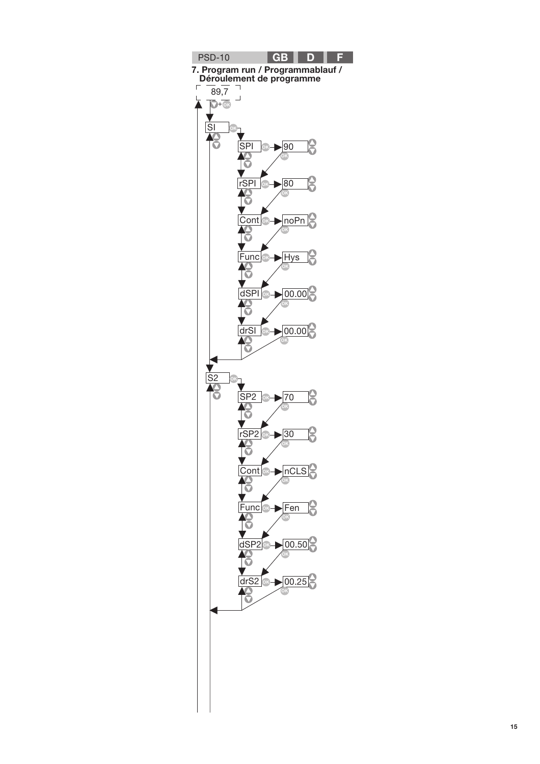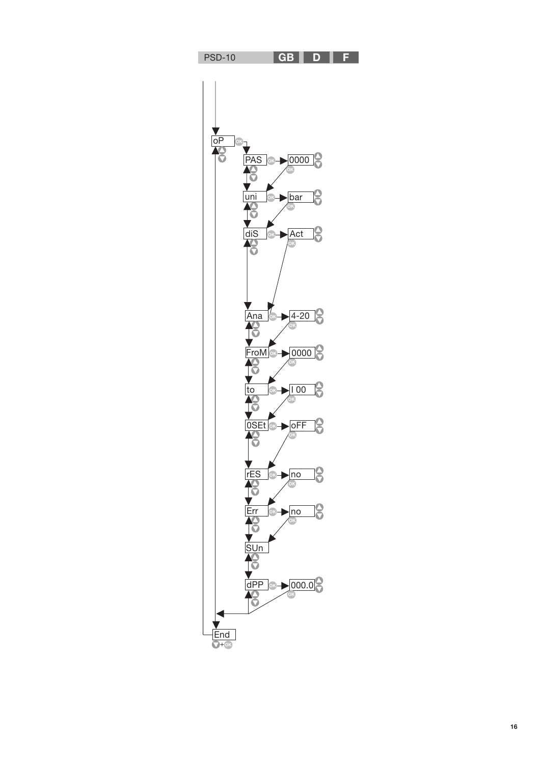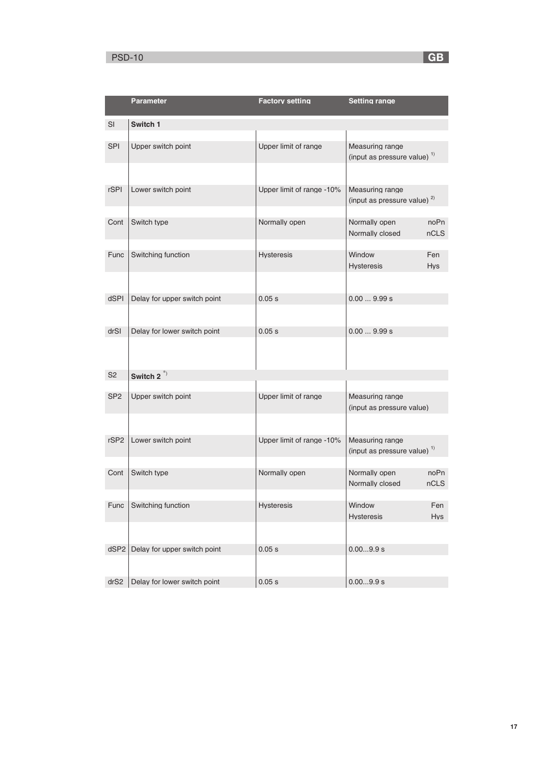|                  | <b>Parameter</b>             | <b>Factory setting</b>    | <b>Setting range</b>                                       |
|------------------|------------------------------|---------------------------|------------------------------------------------------------|
| SI               | Switch 1                     |                           |                                                            |
| <b>SPI</b>       | Upper switch point           | Upper limit of range      | Measuring range<br>(input as pressure value) $1$           |
| <b>rSPI</b>      | Lower switch point           | Upper limit of range -10% | Measuring range<br>(input as pressure value) <sup>2)</sup> |
| Cont             | Switch type                  | Normally open             | Normally open<br>noPn<br>Normally closed<br>nCLS           |
| Func             | Switching function           | <b>Hysteresis</b>         | Window<br>Fen<br><b>Hysteresis</b><br><b>Hys</b>           |
| dSPI             | Delay for upper switch point | 0.05 s                    | 0.009.99 s                                                 |
| drSI             | Delay for lower switch point | 0.05 s                    | 0.009.99 s                                                 |
| S <sub>2</sub>   | Switch $2^{(*)}$             |                           |                                                            |
| SP <sub>2</sub>  | Upper switch point           | Upper limit of range      | Measuring range<br>(input as pressure value)               |
| rSP <sub>2</sub> | Lower switch point           | Upper limit of range -10% | Measuring range<br>(input as pressure value) <sup>1)</sup> |
| Cont             | Switch type                  | Normally open             | Normally open<br>noPn<br>Normally closed<br>nCLS           |
| Func             | Switching function           | Hysteresis                | Window<br>Fen<br>Hys<br><b>Hysteresis</b>                  |
| dSP <sub>2</sub> | Delay for upper switch point | 0.05 s                    | 0.009.9 s                                                  |
| drS2             | Delay for lower switch point | 0.05 s                    | 0.009.9 s                                                  |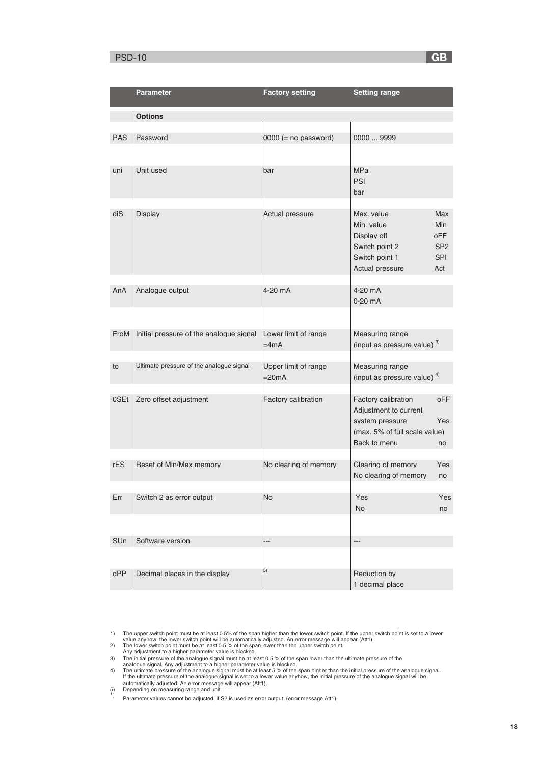# PSD-10 **G**

|            | Parameter                                | <b>Factory setting</b>     | <b>Setting range</b>                          |                   |
|------------|------------------------------------------|----------------------------|-----------------------------------------------|-------------------|
|            | <b>Options</b>                           |                            |                                               |                   |
|            |                                          |                            |                                               |                   |
| <b>PAS</b> | Password                                 | $0000 (= no password)$     | 0000  9999                                    |                   |
|            |                                          |                            |                                               |                   |
| uni        | Unit used                                | bar                        | <b>MPa</b><br><b>PSI</b>                      |                   |
|            |                                          |                            | bar                                           |                   |
|            |                                          |                            |                                               |                   |
| diS        | <b>Display</b>                           | Actual pressure            | Max. value<br>Min. value                      | <b>Max</b><br>Min |
|            |                                          |                            | Display off                                   | oFF               |
|            |                                          |                            | Switch point 2                                | SP <sub>2</sub>   |
|            |                                          |                            | Switch point 1<br>Actual pressure             | <b>SPI</b><br>Act |
|            |                                          |                            |                                               |                   |
| AnA        | Analogue output                          | 4-20 mA                    | 4-20 mA                                       |                   |
|            |                                          |                            | 0-20 mA                                       |                   |
|            |                                          |                            |                                               |                   |
| FroM       | Initial pressure of the analogue signal  | Lower limit of range       | Measuring range                               |                   |
|            |                                          | =4mA                       | (input as pressure value) $3)$                |                   |
| to         | Ultimate pressure of the analogue signal | Upper limit of range       | Measuring range                               |                   |
|            |                                          | $=20mA$                    | (input as pressure value) $4)$                |                   |
| 0SEt       | Zero offset adjustment                   | <b>Factory calibration</b> | Factory calibration                           | oFF               |
|            |                                          |                            | Adjustment to current                         |                   |
|            |                                          |                            | system pressure                               | Yes               |
|            |                                          |                            | (max. 5% of full scale value)<br>Back to menu | no                |
|            |                                          |                            |                                               |                   |
| rES        | Reset of Min/Max memory                  | No clearing of memory      | Clearing of memory                            | Yes               |
|            |                                          |                            | No clearing of memory                         | no                |
| Err        | Switch 2 as error output                 | No                         | Yes                                           | Yes               |
|            |                                          |                            | No                                            | no                |
|            |                                          |                            |                                               |                   |
| SUn        | Software version                         | ---                        | ---                                           |                   |
|            |                                          |                            |                                               |                   |
| dPP        | Decimal places in the display            | 5)                         | Reduction by                                  |                   |
|            |                                          |                            | 1 decimal place                               |                   |

1) The upper switch point must be at least 0.5% of the span higher than the lower switch point. If the upper switch point is set to a lower<br>value anyhow, the lower witch point will be automatically adjusted. An error mess

 $\overline{\phantom{a}}$  GB  $\overline{\phantom{a}}$ 

<sup>\*)</sup> Depending on measuring range and unit.<br>\*) Parameter values cannot be adjusted, if S2 is used as error output (error message Att1).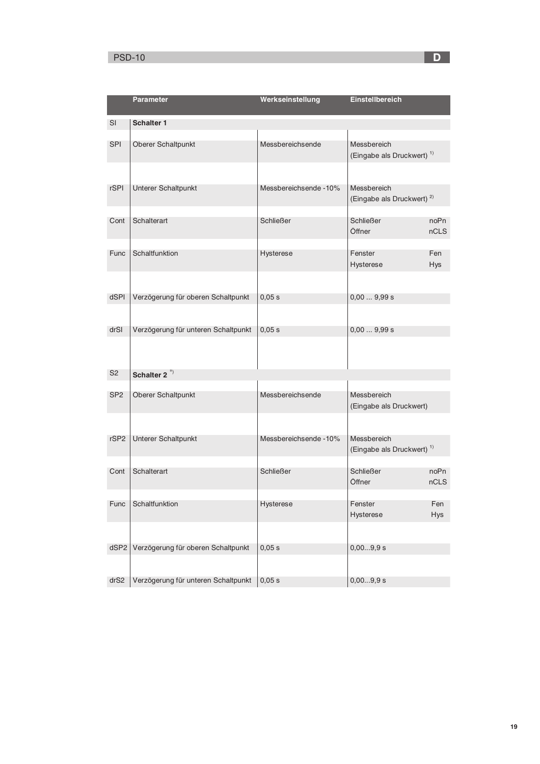# $\mathsf{PSD}\text{-}\mathsf{10}$  . The contract of the contract of the contract of the contract of  $\mathsf{D}$

|                  | <b>Parameter</b>                    | Werkseinstellung      | Einstellbereich                                      |                   |
|------------------|-------------------------------------|-----------------------|------------------------------------------------------|-------------------|
| <b>SI</b>        | <b>Schalter 1</b>                   |                       |                                                      |                   |
| <b>SPI</b>       | Oberer Schaltpunkt                  | Messbereichsende      | Messbereich<br>(Eingabe als Druckwert) <sup>1)</sup> |                   |
| <b>rSPI</b>      | Unterer Schaltpunkt                 | Messbereichsende -10% | Messbereich<br>(Eingabe als Druckwert) <sup>2)</sup> |                   |
| Cont             | Schalterart                         | <b>Schließer</b>      | <b>Schließer</b><br>Öffner                           | noPn<br>nCLS      |
| <b>Func</b>      | Schaltfunktion                      | Hysterese             | Fenster<br>Hysterese                                 | Fen<br><b>Hys</b> |
|                  |                                     |                       |                                                      |                   |
| dSPI             | Verzögerung für oberen Schaltpunkt  | 0,05 s                | 0,009,99s                                            |                   |
|                  |                                     |                       |                                                      |                   |
| drSI             | Verzögerung für unteren Schaltpunkt | 0,05 s                | 0,009,99 s                                           |                   |
|                  |                                     |                       |                                                      |                   |
| S <sub>2</sub>   | Schalter 2 <sup>*)</sup>            |                       |                                                      |                   |
| SP <sub>2</sub>  | Oberer Schaltpunkt                  | Messbereichsende      | Messbereich<br>(Eingabe als Druckwert)               |                   |
|                  |                                     |                       |                                                      |                   |
| rSP <sub>2</sub> | Unterer Schaltpunkt                 | Messbereichsende -10% | Messbereich<br>(Eingabe als Druckwert) <sup>1)</sup> |                   |
| Cont             | Schalterart                         | <b>Schließer</b>      | <b>Schließer</b><br>Öffner                           | noPn<br>nCLS      |
| Func             | Schaltfunktion                      | Hysterese             | Fenster<br>Hysterese                                 | Fen<br><b>Hys</b> |
|                  |                                     |                       |                                                      |                   |
| dSP <sub>2</sub> | Verzögerung für oberen Schaltpunkt  | 0,05 s                | 0,009,9 s                                            |                   |
| drS2             | Verzögerung für unteren Schaltpunkt | 0,05 s                | 0,009,9 s                                            |                   |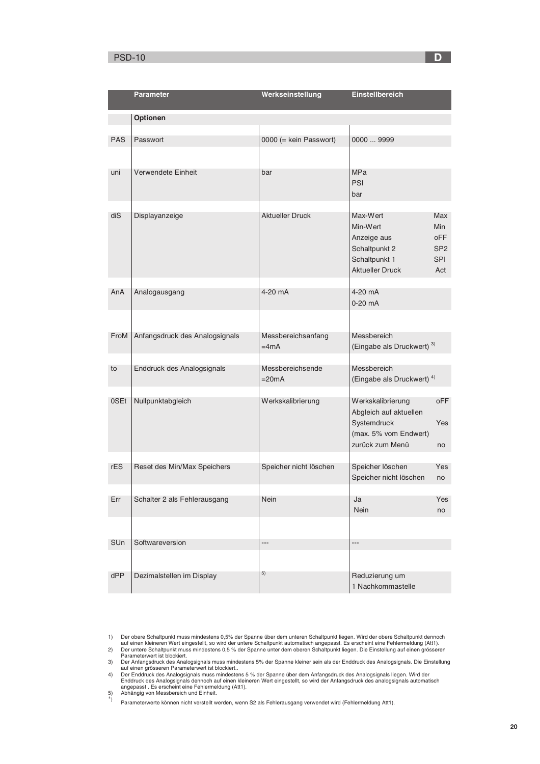# PSD-10 **D**

|            | <b>Parameter</b>               | Werkseinstellung             | Einstellbereich                                      |                 |
|------------|--------------------------------|------------------------------|------------------------------------------------------|-----------------|
|            |                                |                              |                                                      |                 |
|            | Optionen                       |                              |                                                      |                 |
|            |                                |                              |                                                      |                 |
| <b>PAS</b> | Passwort                       | 0000 (= kein Passwort)       | 00009999                                             |                 |
|            |                                |                              |                                                      |                 |
| uni        | Verwendete Einheit             | bar                          | <b>MPa</b>                                           |                 |
|            |                                |                              | PSI                                                  |                 |
|            |                                |                              | bar                                                  |                 |
| diS        | Displayanzeige                 | <b>Aktueller Druck</b>       | Max-Wert                                             | Max             |
|            |                                |                              | Min-Wert                                             | <b>Min</b>      |
|            |                                |                              | Anzeige aus                                          | oFF             |
|            |                                |                              | Schaltpunkt 2                                        | SP <sub>2</sub> |
|            |                                |                              | Schaltpunkt 1                                        | <b>SPI</b>      |
|            |                                |                              | <b>Aktueller Druck</b>                               | Act             |
| AnA        | Analogausgang                  | 4-20 mA                      | 4-20 mA                                              |                 |
|            |                                |                              | 0-20 mA                                              |                 |
|            |                                |                              |                                                      |                 |
|            |                                |                              |                                                      |                 |
| FroM       | Anfangsdruck des Analogsignals | Messbereichsanfang<br>$=4mA$ | Messbereich<br>(Eingabe als Druckwert) <sup>3)</sup> |                 |
|            |                                |                              |                                                      |                 |
| to         | Enddruck des Analogsignals     | Messbereichsende             | Messbereich                                          |                 |
|            |                                | $=20mA$                      | (Eingabe als Druckwert) <sup>4)</sup>                |                 |
| 0SEt       | Nullpunktabgleich              | Werkskalibrierung            | Werkskalibrierung                                    | <b>oFF</b>      |
|            |                                |                              | Abgleich auf aktuellen                               |                 |
|            |                                |                              | Systemdruck                                          | <b>Yes</b>      |
|            |                                |                              | (max. 5% vom Endwert)                                |                 |
|            |                                |                              | zurück zum Menü                                      | no              |
| rES        | Reset des Min/Max Speichers    | Speicher nicht löschen       | Speicher löschen                                     | Yes             |
|            |                                |                              | Speicher nicht löschen                               | no              |
|            |                                |                              |                                                      |                 |
| Err        | Schalter 2 als Fehlerausgang   | Nein                         | Ja                                                   | Yes             |
|            |                                |                              | Nein                                                 | no              |
|            |                                |                              |                                                      |                 |
| SUn        | Softwareversion                | ---                          | ---                                                  |                 |
|            |                                |                              |                                                      |                 |
|            |                                | 5)                           |                                                      |                 |
| dPP        | Dezimalstellen im Display      |                              | Reduzierung um<br>1 Nachkommastelle                  |                 |
|            |                                |                              |                                                      |                 |

Der obere Schaltpunkt muss mindestens 0,5% der Spanne über dem unteren Schaltpunkt liegen. Wird der obere Schaltpunkt dennoch<br>auf einen kleineren Wert eingestellt, so wird der untere Schaltpunkt automatisch angepasst. Es e

Parameterwert ist blockiert.<br>3) Der Anfangsdruck des Analogsignals muss mindestens 5% der Spanne kleiner sein als der Enddruck des Analogsignals. Die Einstellung<br>3) Der Anfangsdruck des Analogsignals muss mindestens 5 % de Endation der Antargergnatie der Information auf einer North Adelman<br>angepasst . Es erscheint eine Fehlermeldung (Att1).<br>Abhängig von Messbereich und Einheit.

5) Abhängig von Messbereich und Einheit.<br><sup>\*)</sup> Parameterwerte können nicht verstellt werden, wenn S2 als Fehlerausgang verwendet wird (Fehlermeldung Att1).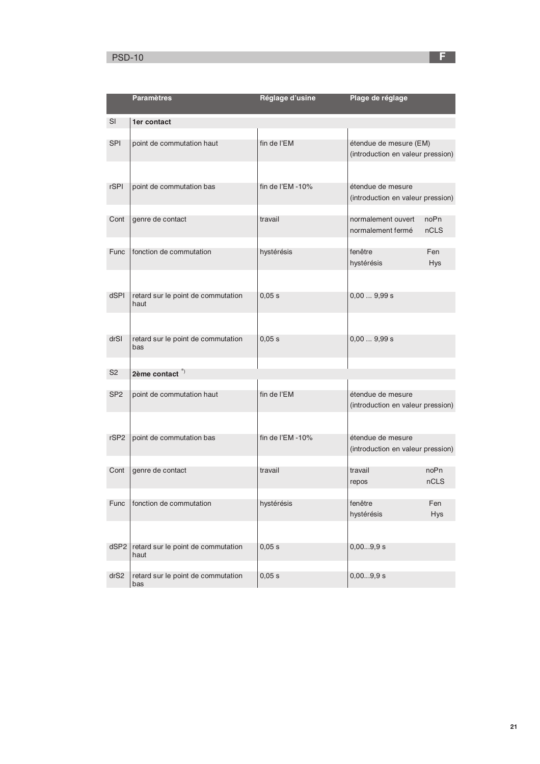# PSD-10 <mark> F</mark>

|                  | <b>Paramètres</b>                          | Réglage d'usine     | Plage de réglage                  |            |
|------------------|--------------------------------------------|---------------------|-----------------------------------|------------|
| SI               | 1er contact                                |                     |                                   |            |
|                  |                                            |                     |                                   |            |
| <b>SPI</b>       | point de commutation haut                  | fin de l'EM         | étendue de mesure (EM)            |            |
|                  |                                            |                     | (introduction en valeur pression) |            |
|                  |                                            |                     |                                   |            |
| <b>rSPI</b>      | point de commutation bas                   | fin de l'EM $-10\%$ | étendue de mesure                 |            |
|                  |                                            |                     | (introduction en valeur pression) |            |
| Cont             | genre de contact                           | travail             | normalement ouvert                | noPn       |
|                  |                                            |                     | normalement fermé                 | nCLS       |
|                  |                                            |                     |                                   |            |
| Func             | fonction de commutation                    | hystérésis          | fenêtre                           | Fen        |
|                  |                                            |                     | hystérésis                        | <b>Hys</b> |
|                  |                                            |                     |                                   |            |
| <b>dSPI</b>      | retard sur le point de commutation         | 0,05 s              | 0,009,99 s                        |            |
|                  | haut                                       |                     |                                   |            |
|                  |                                            |                     |                                   |            |
| drSI             | retard sur le point de commutation         | 0,05 s              | 0,009,99 s                        |            |
|                  | bas                                        |                     |                                   |            |
|                  |                                            |                     |                                   |            |
| S <sub>2</sub>   | $2$ ème contact $*$                        |                     |                                   |            |
| SP <sub>2</sub>  | point de commutation haut                  | fin de l'EM         | étendue de mesure                 |            |
|                  |                                            |                     | (introduction en valeur pression) |            |
|                  |                                            |                     |                                   |            |
| rSP <sub>2</sub> | point de commutation bas                   | fin de l'EM $-10\%$ | étendue de mesure                 |            |
|                  |                                            |                     | (introduction en valeur pression) |            |
|                  |                                            |                     |                                   |            |
| Cont             | genre de contact                           | travail             | travail                           | noPn       |
|                  |                                            |                     | repos                             | nCLS       |
| Func             | fonction de commutation                    | hystérésis          | fenêtre                           | Fen        |
|                  |                                            |                     | hystérésis                        | <b>Hys</b> |
|                  |                                            |                     |                                   |            |
| dSP <sub>2</sub> |                                            |                     |                                   |            |
|                  | retard sur le point de commutation<br>haut | 0,05 s              | 0,009,9 s                         |            |
|                  |                                            |                     |                                   |            |
| drS2             | retard sur le point de commutation<br>bas  | 0,05 s              | 0,009,9 s                         |            |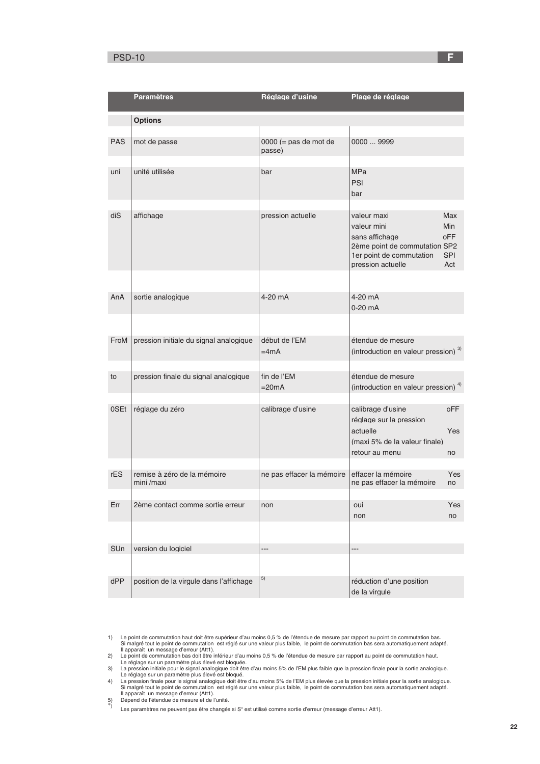# PSD-10 <mark> F</mark>

|            | <b>Paramètres</b>                       | Réglage d'usine                           | Plage de réglage                                |                   |
|------------|-----------------------------------------|-------------------------------------------|-------------------------------------------------|-------------------|
|            | <b>Options</b>                          |                                           |                                                 |                   |
|            |                                         |                                           |                                                 |                   |
| <b>PAS</b> | mot de passe                            | $0000 (= \text{pas de mot de})$<br>passe) | 0000  9999                                      |                   |
|            |                                         |                                           |                                                 |                   |
| uni        | unité utilisée                          | bar                                       | <b>MPa</b><br><b>PSI</b>                        |                   |
|            |                                         |                                           | bar                                             |                   |
| diS        | affichage                               | pression actuelle                         | valeur maxi                                     | Max               |
|            |                                         |                                           | valeur mini                                     | Min               |
|            |                                         |                                           | sans affichage                                  | <b>oFF</b>        |
|            |                                         |                                           | 2ème point de commutation SP2                   |                   |
|            |                                         |                                           | 1er point de commutation<br>pression actuelle   | <b>SPI</b><br>Act |
|            |                                         |                                           |                                                 |                   |
| AnA        | sortie analogique                       | 4-20 mA                                   | 4-20 mA                                         |                   |
|            |                                         |                                           | $0-20$ mA                                       |                   |
|            |                                         |                                           |                                                 |                   |
| FroM       | pression initiale du signal analogique  | début de l'EM                             | étendue de mesure                               |                   |
|            |                                         | $=4mA$                                    | (introduction en valeur pression) <sup>3)</sup> |                   |
|            |                                         |                                           |                                                 |                   |
| to         | pression finale du signal analogique    | fin de l'EM                               | étendue de mesure                               |                   |
|            |                                         | $=20mA$                                   | (introduction en valeur pression) <sup>4)</sup> |                   |
|            | réglage du zéro                         |                                           |                                                 |                   |
| 0SEt       |                                         | calibrage d'usine                         | calibrage d'usine<br>réglage sur la pression    | <b>oFF</b>        |
|            |                                         |                                           | actuelle                                        | Yes               |
|            |                                         |                                           | (maxi 5% de la valeur finale)                   |                   |
|            |                                         |                                           | retour au menu                                  | no                |
|            |                                         |                                           |                                                 |                   |
| rES        | remise à zéro de la mémoire             | ne pas effacer la mémoire                 | effacer la mémoire                              | <b>Yes</b>        |
|            | mini /maxi                              |                                           | ne pas effacer la mémoire                       | no                |
|            |                                         |                                           |                                                 |                   |
| Err        | 2ème contact comme sortie erreur        | non                                       | oui                                             | Yes               |
|            |                                         |                                           | non                                             | no                |
|            |                                         |                                           |                                                 |                   |
| SUn        | version du logiciel                     | ---                                       | ---                                             |                   |
|            |                                         |                                           |                                                 |                   |
|            |                                         |                                           |                                                 |                   |
| dPP        | position de la virgule dans l'affichage | 5)                                        | réduction d'une position                        |                   |
|            |                                         |                                           | de la virgule                                   |                   |

<sup>1)</sup> Le point de commutation haut doit être supérieur d'au moins 0,5 % de l'étendue de mesure par rapport au point de commutation bas.<br>Si malgré tout le point de commutation est réglé sur une valeur plus faible, le point de

La pression initiale pour le signal analogique doit être d'au moins 5% de l'EM plus faible que la pression finale pour la sortie analogique.<br>
Le réglage sur un paramètre plus salevé est bloqué.<br>
La pression finale pour la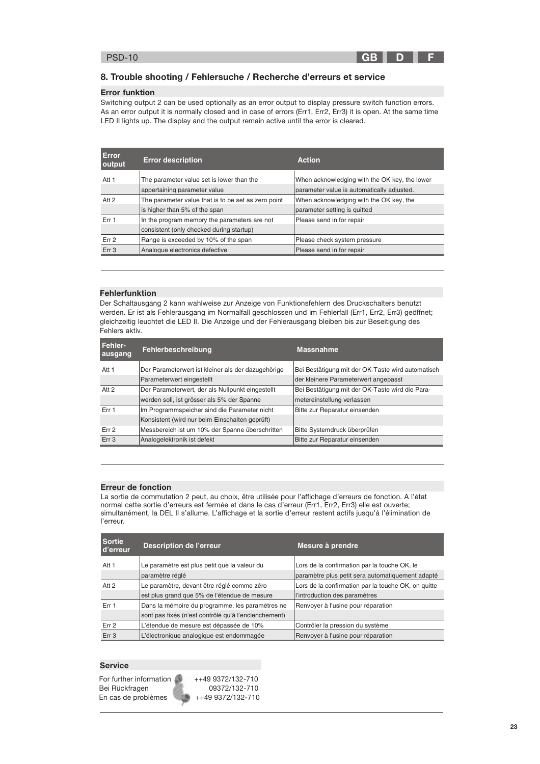

## 8. Trouble shooting / Fehlersuche / Recherche d'erreurs et service

#### Error funktion

Switching output 2 can be used optionally as an error output to display pressure switch function errors. As an error output it is normally closed and in case of errors (Err1, Err2, Err3) it is open. At the same time LED II lights up. The display and the output remain active until the error is cleared.

| <b>Error description</b>                            | <b>Action</b>                                 |
|-----------------------------------------------------|-----------------------------------------------|
| The parameter value set is lower than the           | When acknowledging with the OK key, the lower |
| appertaining parameter value                        | parameter value is automatically adjusted.    |
| The parameter value that is to be set as zero point | When acknowledging with the OK key, the       |
| is higher than 5% of the span                       | parameter setting is guitted                  |
| In the program memory the parameters are not        | Please send in for repair                     |
| consistent (only checked during startup)            |                                               |
| Range is exceeded by 10% of the span                | Please check system pressure                  |
| Analogue electronics defective                      | Please send in for repair                     |
|                                                     |                                               |

#### Fehlerfunktion

Der Schaltausgang 2 kann wahlweise zur Anzeige von Funktionsfehlern des Druckschalters benutzt werden. Er ist als Fehlerausgang im Normalfall geschlossen und im Fehlerfall (Err1, Err2, Err3) geöffnet; gleichzeitig leuchtet die LED II. Die Anzeige und der Fehlerausgang bleiben bis zur Beseitigung des Fehlers aktiv.

| Fehler-<br>ausgang | <b>Fehlerbeschreibung</b>                          | <b>Massnahme</b>                                  |
|--------------------|----------------------------------------------------|---------------------------------------------------|
| Att 1              | Der Parameterwert ist kleiner als der dazugehörige | Bei Bestätigung mit der OK-Taste wird automatisch |
|                    | Parameterwert eingestellt                          | der kleinere Parameterwert angepasst              |
| Att 2              | Der Parameterwert, der als Nullpunkt eingestellt   | Bei Bestätigung mit der OK-Taste wird die Para-   |
|                    | werden soll, ist grösser als 5% der Spanne         | metereinstellung verlassen                        |
| Err <sub>1</sub>   | Im Programmspeicher sind die Parameter nicht       | Bitte zur Reparatur einsenden                     |
|                    | Konsistent (wird nur beim Einschalten geprüft)     |                                                   |
| Err <sub>2</sub>   | Messbereich ist um 10% der Spanne überschritten    | Bitte Systemdruck überprüfen                      |
| Err 3              | Analogelektronik ist defekt                        | Bitte zur Reparatur einsenden                     |

#### Erreur de fonction

La sortie de commutation 2 peut, au choix, être utilisée pour l'affichage d'erreurs de fonction. A l'état normal cette sortie d'erreurs est fermée et dans le cas d'erreur (Err1, Err2, Err3) elle est ouverte; simultanément, la DEL II s'allume. L'affichage et la sortie d'erreur restent actifs jusqu'à l'élimination de l'erreur.

| <b>Sortie</b><br>d'erreur | <b>Description de l'erreur</b>                       | Mesure à prendre                                    |
|---------------------------|------------------------------------------------------|-----------------------------------------------------|
| Att 1                     | Le paramètre est plus petit que la valeur du         | Lors de la confirmation par la touche OK, le        |
|                           | paramètre réglé                                      | paramètre plus petit sera automatiquement adapté    |
| Att 2                     | Le paramètre, devant être réglé comme zéro           | Lors de la confirmation par la touche OK, on quitte |
|                           | est plus grand que 5% de l'étendue de mesure         | l'introduction des paramètres                       |
| Err 1                     | Dans la mémoire du programme, les paramètres ne      | Renvoyer à l'usine pour réparation                  |
|                           | sont pas fixés (n'est contrôlé qu'à l'enclenchement) |                                                     |
| Err 2                     | L'étendue de mesure est dépassée de 10%              | Contrôler la pression du système                    |
| Err 3                     | L'électronique analogique est endommagée             | Renvoyer à l'usine pour réparation                  |

# Service

For further information  $\sqrt{1 + 499372/132-710}$ 0N?+.5"## " En cas de problèmes